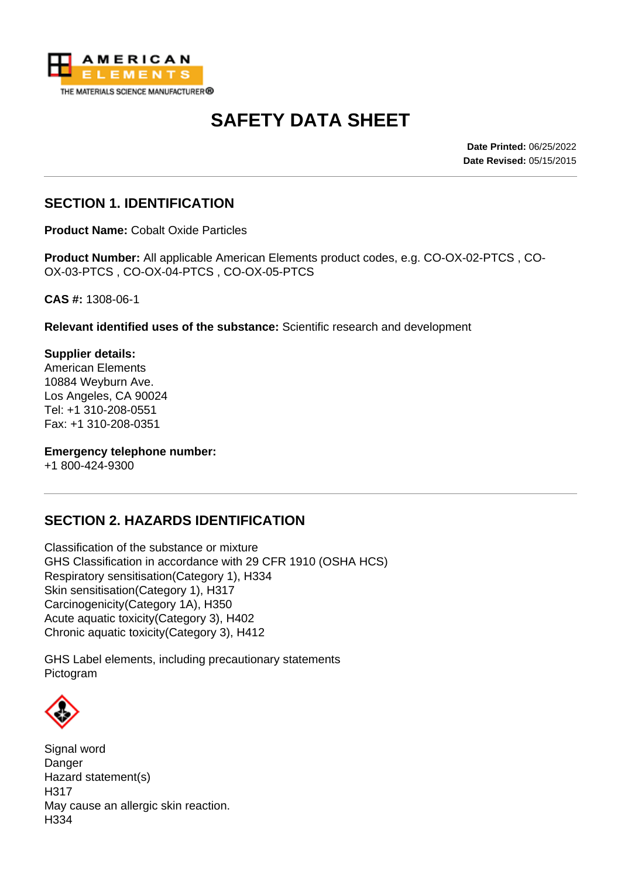

# **SAFETY DATA SHEET**

**Date Printed:** 06/25/2022 **Date Revised:** 05/15/2015

## **SECTION 1. IDENTIFICATION**

**Product Name:** Cobalt Oxide Particles

**Product Number:** All applicable American Elements product codes, e.g. CO-OX-02-PTCS , CO-OX-03-PTCS , CO-OX-04-PTCS , CO-OX-05-PTCS

**CAS #:** 1308-06-1

**Relevant identified uses of the substance:** Scientific research and development

**Supplier details:** American Elements 10884 Weyburn Ave. Los Angeles, CA 90024 Tel: +1 310-208-0551 Fax: +1 310-208-0351

**Emergency telephone number:**

+1 800-424-9300

# **SECTION 2. HAZARDS IDENTIFICATION**

Classification of the substance or mixture GHS Classification in accordance with 29 CFR 1910 (OSHA HCS) Respiratory sensitisation(Category 1), H334 Skin sensitisation(Category 1), H317 Carcinogenicity(Category 1A), H350 Acute aquatic toxicity(Category 3), H402 Chronic aquatic toxicity(Category 3), H412

GHS Label elements, including precautionary statements Pictogram



Signal word Danger Hazard statement(s) H317 May cause an allergic skin reaction. H334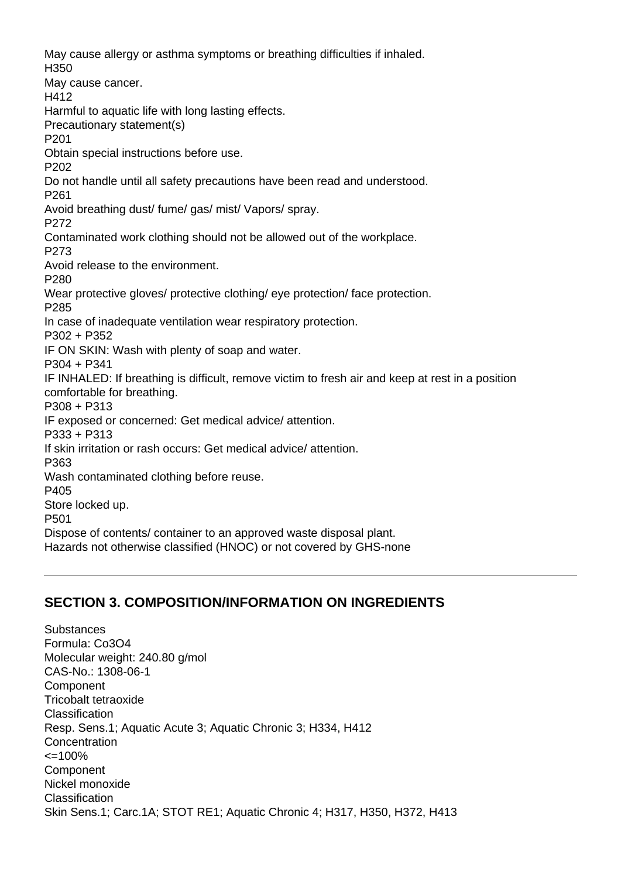May cause allergy or asthma symptoms or breathing difficulties if inhaled. H350 May cause cancer. H412 Harmful to aquatic life with long lasting effects. Precautionary statement(s) P201 Obtain special instructions before use. P202 Do not handle until all safety precautions have been read and understood. P261 Avoid breathing dust/ fume/ gas/ mist/ Vapors/ spray. P272 Contaminated work clothing should not be allowed out of the workplace. P273 Avoid release to the environment. P280 Wear protective gloves/ protective clothing/ eye protection/ face protection. P285 In case of inadequate ventilation wear respiratory protection. P302 + P352 IF ON SKIN: Wash with plenty of soap and water. P304 + P341 IF INHALED: If breathing is difficult, remove victim to fresh air and keep at rest in a position comfortable for breathing. P308 + P313 IF exposed or concerned: Get medical advice/ attention. P333 + P313 If skin irritation or rash occurs: Get medical advice/ attention. P363 Wash contaminated clothing before reuse. P405 Store locked up. P501 Dispose of contents/ container to an approved waste disposal plant. Hazards not otherwise classified (HNOC) or not covered by GHS-none

# **SECTION 3. COMPOSITION/INFORMATION ON INGREDIENTS**

Substances Formula: Co3O4 Molecular weight: 240.80 g/mol CAS-No.: 1308-06-1 Component Tricobalt tetraoxide Classification Resp. Sens.1; Aquatic Acute 3; Aquatic Chronic 3; H334, H412 **Concentration**  $\leq$  = 100% Component Nickel monoxide Classification Skin Sens.1; Carc.1A; STOT RE1; Aquatic Chronic 4; H317, H350, H372, H413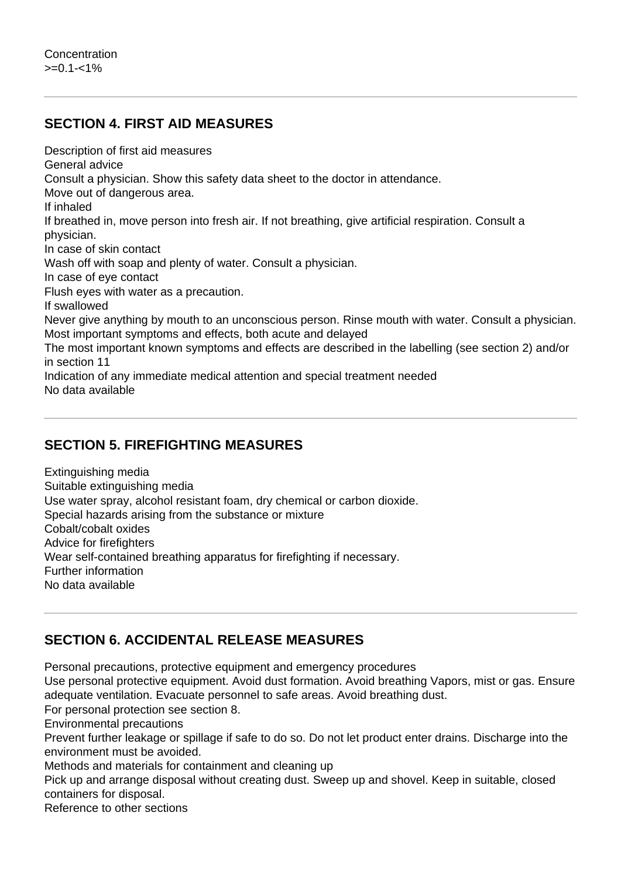# **SECTION 4. FIRST AID MEASURES**

Description of first aid measures

General advice

Consult a physician. Show this safety data sheet to the doctor in attendance.

Move out of dangerous area.

If inhaled

If breathed in, move person into fresh air. If not breathing, give artificial respiration. Consult a physician.

In case of skin contact

Wash off with soap and plenty of water. Consult a physician.

In case of eye contact

Flush eyes with water as a precaution.

If swallowed

Never give anything by mouth to an unconscious person. Rinse mouth with water. Consult a physician. Most important symptoms and effects, both acute and delayed

The most important known symptoms and effects are described in the labelling (see section 2) and/or in section 11

Indication of any immediate medical attention and special treatment needed No data available

# **SECTION 5. FIREFIGHTING MEASURES**

Extinguishing media Suitable extinguishing media Use water spray, alcohol resistant foam, dry chemical or carbon dioxide. Special hazards arising from the substance or mixture Cobalt/cobalt oxides Advice for firefighters Wear self-contained breathing apparatus for firefighting if necessary. Further information No data available

# **SECTION 6. ACCIDENTAL RELEASE MEASURES**

Personal precautions, protective equipment and emergency procedures

Use personal protective equipment. Avoid dust formation. Avoid breathing Vapors, mist or gas. Ensure adequate ventilation. Evacuate personnel to safe areas. Avoid breathing dust.

For personal protection see section 8.

Environmental precautions

Prevent further leakage or spillage if safe to do so. Do not let product enter drains. Discharge into the environment must be avoided.

Methods and materials for containment and cleaning up

Pick up and arrange disposal without creating dust. Sweep up and shovel. Keep in suitable, closed containers for disposal.

Reference to other sections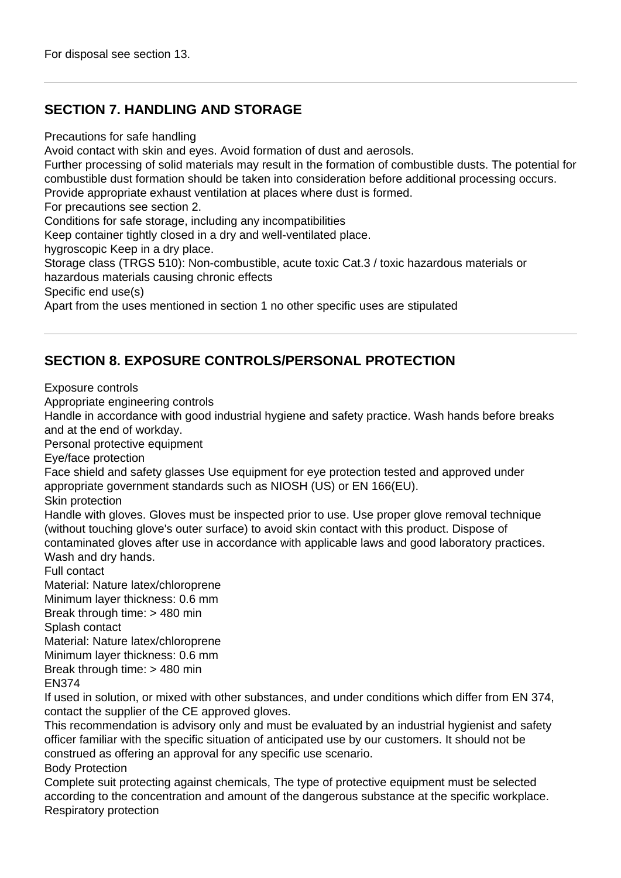# **SECTION 7. HANDLING AND STORAGE**

Precautions for safe handling

Avoid contact with skin and eyes. Avoid formation of dust and aerosols.

Further processing of solid materials may result in the formation of combustible dusts. The potential for combustible dust formation should be taken into consideration before additional processing occurs. Provide appropriate exhaust ventilation at places where dust is formed.

For precautions see section 2.

Conditions for safe storage, including any incompatibilities

Keep container tightly closed in a dry and well-ventilated place.

hygroscopic Keep in a dry place.

Storage class (TRGS 510): Non-combustible, acute toxic Cat.3 / toxic hazardous materials or hazardous materials causing chronic effects

Specific end use(s)

Apart from the uses mentioned in section 1 no other specific uses are stipulated

# **SECTION 8. EXPOSURE CONTROLS/PERSONAL PROTECTION**

Exposure controls

Appropriate engineering controls

Handle in accordance with good industrial hygiene and safety practice. Wash hands before breaks and at the end of workday.

Personal protective equipment

Eye/face protection

Face shield and safety glasses Use equipment for eye protection tested and approved under appropriate government standards such as NIOSH (US) or EN 166(EU).

Skin protection

Handle with gloves. Gloves must be inspected prior to use. Use proper glove removal technique (without touching glove's outer surface) to avoid skin contact with this product. Dispose of contaminated gloves after use in accordance with applicable laws and good laboratory practices. Wash and dry hands.

Full contact

Material: Nature latex/chloroprene Minimum layer thickness: 0.6 mm Break through time: > 480 min Splash contact Material: Nature latex/chloroprene Minimum layer thickness: 0.6 mm Break through time: > 480 min

EN374

If used in solution, or mixed with other substances, and under conditions which differ from EN 374, contact the supplier of the CE approved gloves.

This recommendation is advisory only and must be evaluated by an industrial hygienist and safety officer familiar with the specific situation of anticipated use by our customers. It should not be construed as offering an approval for any specific use scenario. Body Protection

Complete suit protecting against chemicals, The type of protective equipment must be selected according to the concentration and amount of the dangerous substance at the specific workplace. Respiratory protection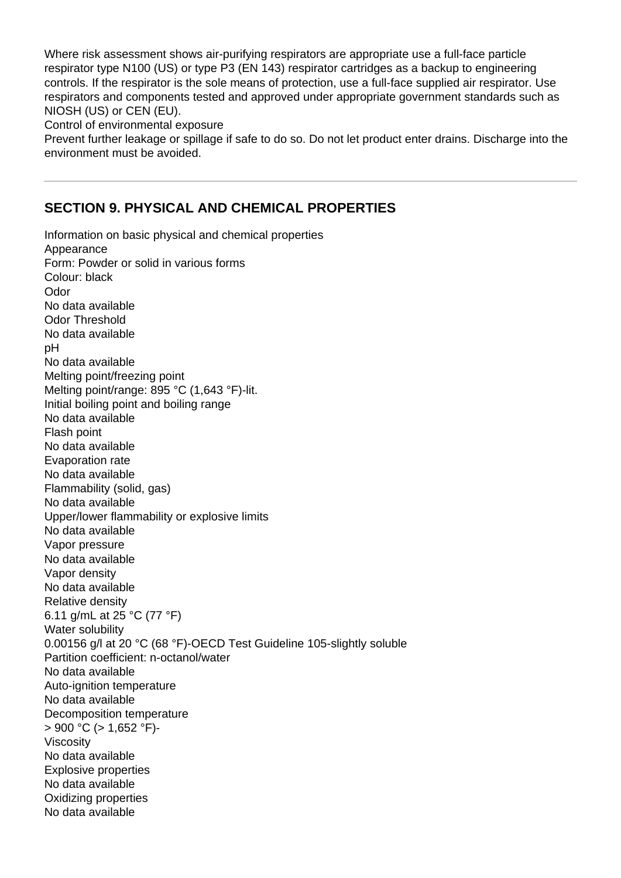Where risk assessment shows air-purifying respirators are appropriate use a full-face particle respirator type N100 (US) or type P3 (EN 143) respirator cartridges as a backup to engineering controls. If the respirator is the sole means of protection, use a full-face supplied air respirator. Use respirators and components tested and approved under appropriate government standards such as NIOSH (US) or CEN (EU).

Control of environmental exposure

Prevent further leakage or spillage if safe to do so. Do not let product enter drains. Discharge into the environment must be avoided.

## **SECTION 9. PHYSICAL AND CHEMICAL PROPERTIES**

Information on basic physical and chemical properties Appearance Form: Powder or solid in various forms Colour: black Odor No data available Odor Threshold No data available pH No data available Melting point/freezing point Melting point/range: 895 °C (1,643 °F)-lit. Initial boiling point and boiling range No data available Flash point No data available Evaporation rate No data available Flammability (solid, gas) No data available Upper/lower flammability or explosive limits No data available Vapor pressure No data available Vapor density No data available Relative density 6.11 g/mL at 25 °C (77 °F) Water solubility 0.00156 g/l at 20 °C (68 °F)-OECD Test Guideline 105-slightly soluble Partition coefficient: n-octanol/water No data available Auto-ignition temperature No data available Decomposition temperature  $> 900$  °C ( $> 1.652$  °F)-Viscosity No data available Explosive properties No data available Oxidizing properties No data available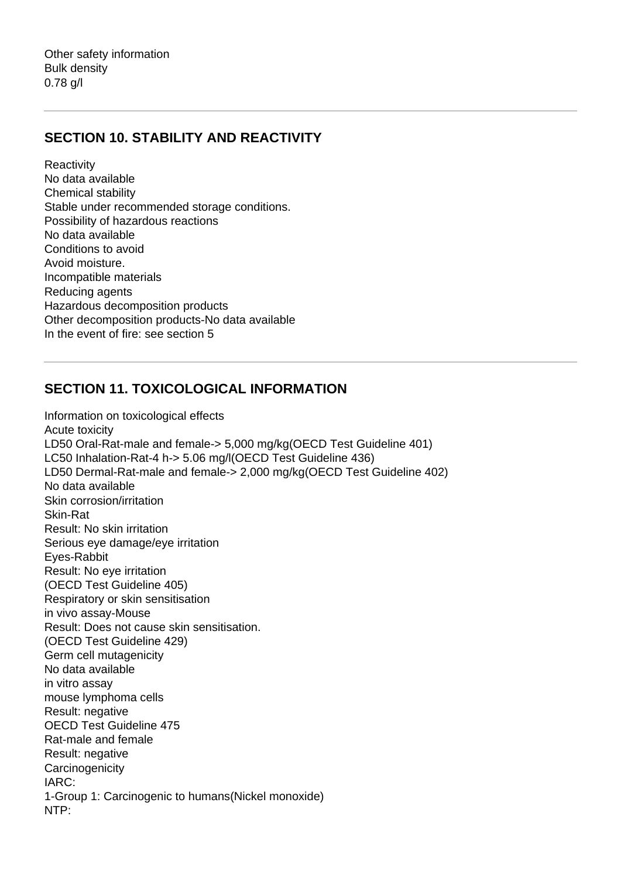Other safety information Bulk density 0.78 g/l

#### **SECTION 10. STABILITY AND REACTIVITY**

**Reactivity** No data available Chemical stability Stable under recommended storage conditions. Possibility of hazardous reactions No data available Conditions to avoid Avoid moisture. Incompatible materials Reducing agents Hazardous decomposition products Other decomposition products-No data available In the event of fire: see section 5

#### **SECTION 11. TOXICOLOGICAL INFORMATION**

Information on toxicological effects Acute toxicity LD50 Oral-Rat-male and female-> 5,000 mg/kg(OECD Test Guideline 401) LC50 Inhalation-Rat-4 h-> 5.06 mg/l(OECD Test Guideline 436) LD50 Dermal-Rat-male and female-> 2,000 mg/kg(OECD Test Guideline 402) No data available Skin corrosion/irritation Skin-Rat Result: No skin irritation Serious eye damage/eye irritation Eyes-Rabbit Result: No eye irritation (OECD Test Guideline 405) Respiratory or skin sensitisation in vivo assay-Mouse Result: Does not cause skin sensitisation. (OECD Test Guideline 429) Germ cell mutagenicity No data available in vitro assay mouse lymphoma cells Result: negative OECD Test Guideline 475 Rat-male and female Result: negative **Carcinogenicity** IARC: 1-Group 1: Carcinogenic to humans(Nickel monoxide) NTP: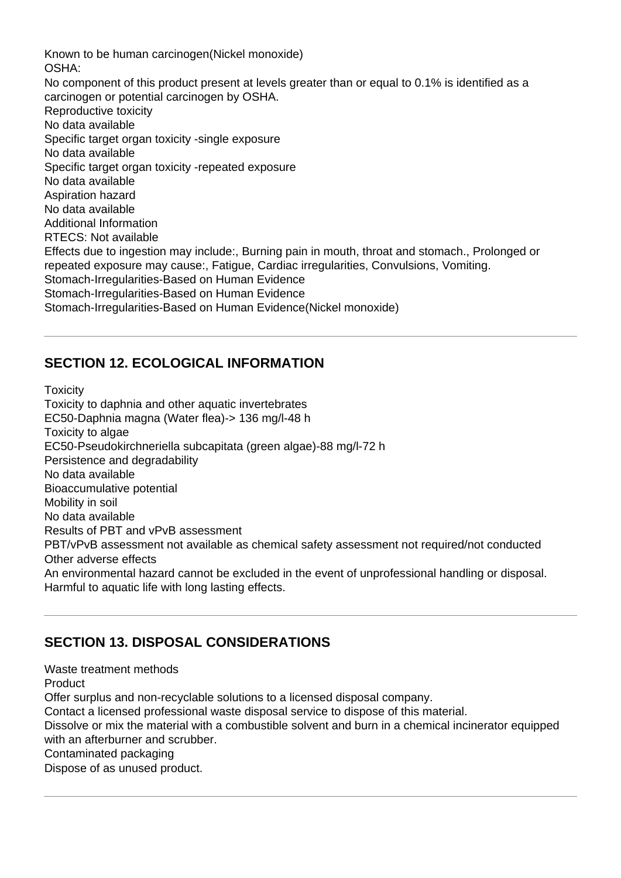Known to be human carcinogen(Nickel monoxide) OSHA: No component of this product present at levels greater than or equal to 0.1% is identified as a carcinogen or potential carcinogen by OSHA. Reproductive toxicity No data available Specific target organ toxicity -single exposure No data available Specific target organ toxicity -repeated exposure No data available Aspiration hazard No data available Additional Information RTECS: Not available Effects due to ingestion may include:, Burning pain in mouth, throat and stomach., Prolonged or repeated exposure may cause:, Fatigue, Cardiac irregularities, Convulsions, Vomiting. Stomach-Irregularities-Based on Human Evidence Stomach-Irregularities-Based on Human Evidence Stomach-Irregularities-Based on Human Evidence(Nickel monoxide)

# **SECTION 12. ECOLOGICAL INFORMATION**

**Toxicity** Toxicity to daphnia and other aquatic invertebrates EC50-Daphnia magna (Water flea)-> 136 mg/l-48 h Toxicity to algae EC50-Pseudokirchneriella subcapitata (green algae)-88 mg/l-72 h Persistence and degradability No data available Bioaccumulative potential Mobility in soil No data available Results of PBT and vPvB assessment PBT/vPvB assessment not available as chemical safety assessment not required/not conducted Other adverse effects An environmental hazard cannot be excluded in the event of unprofessional handling or disposal. Harmful to aquatic life with long lasting effects.

# **SECTION 13. DISPOSAL CONSIDERATIONS**

Waste treatment methods Product Offer surplus and non-recyclable solutions to a licensed disposal company. Contact a licensed professional waste disposal service to dispose of this material. Dissolve or mix the material with a combustible solvent and burn in a chemical incinerator equipped with an afterburner and scrubber. Contaminated packaging Dispose of as unused product.